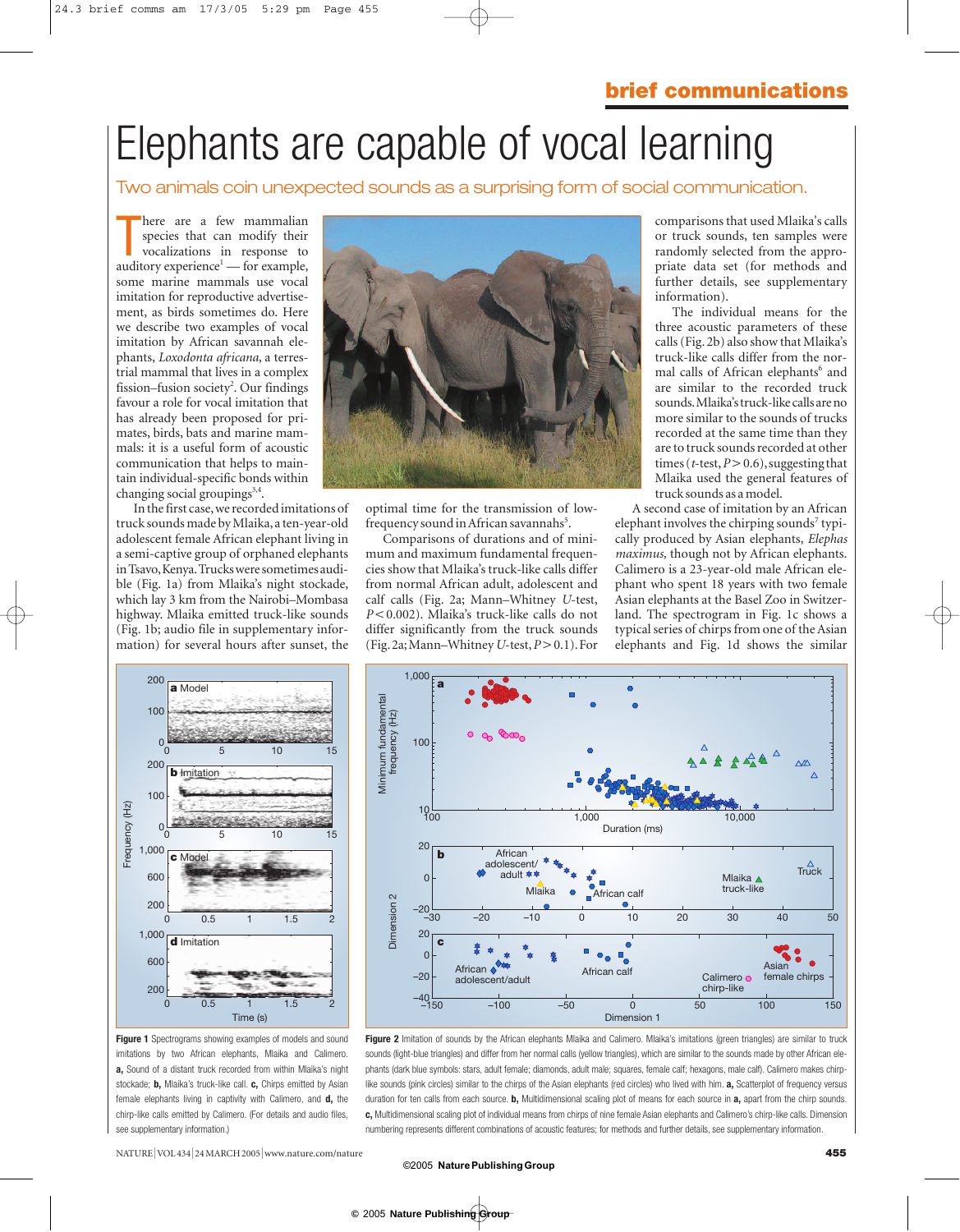# Elephants are capable of vocal learning

## Two animals coin unexpected sounds as a surprising form of social communication.

There are a few mammalian species that can modify their vocalizations in response to auditory experience<sup>1</sup> — for example, here are a few mammalian species that can modify their vocalizations in response to some marine mammals use vocal imitation for reproductive advertisement, as birds sometimes do. Here we describe two examples of vocal imitation by African savannah elephants, *Loxodonta africana*, a terrestrial mammal that lives in a complex fission–fusion society<sup>2</sup>. Our findings favour a role for vocal imitation that has already been proposed for primates, birds, bats and marine mammals: it is a useful form of acoustic communication that helps to maintain individual-specific bonds within changing social groupings<sup>3,4</sup>.

In the first case,we recorded imitations of truck sounds made by Mlaika,a ten-year-old adolescent female African elephant living in a semi-captive group of orphaned elephants in Tsavo,Kenya.Trucks were sometimes audible (Fig. 1a) from Mlaika's night stockade, which lay 3 km from the Nairobi–Mombasa highway. Mlaika emitted truck-like sounds (Fig. 1b; audio file in supplementary information) for several hours after sunset, the



optimal time for the transmission of lowfrequency sound in African savannahs<sup>5</sup>.

Comparisons of durations and of minimum and maximum fundamental frequencies show that Mlaika's truck-like calls differ from normal African adult, adolescent and calf calls (Fig. 2a; Mann–Whitney *U*-test, *P*<0.002). Mlaika's truck-like calls do not differ significantly from the truck sounds (Fig.2a;Mann–Whitney *U*-test,*P*-0.1).For

comparisons that used Mlaika's calls or truck sounds, ten samples were randomly selected from the appropriate data set (for methods and further details, see supplementary information).

The individual means for the three acoustic parameters of these calls (Fig. 2b) also show that Mlaika's truck-like calls differ from the normal calls of African elephants<sup>6</sup> and are similar to the recorded truck sounds.Mlaika's truck-like calls are no more similar to the sounds of trucks recorded at the same time than they are to truck sounds recorded at other times (*t*-test,*P*-0.6),suggesting that Mlaika used the general features of truck sounds as a model.

A second case of imitation by an African elephant involves the chirping sounds<sup>7</sup> typically produced by Asian elephants, *Elephas maximus,* though not by African elephants. Calimero is a 23-year-old male African elephant who spent 18 years with two female Asian elephants at the Basel Zoo in Switzerland. The spectrogram in Fig. 1c shows a typical series of chirps from one of the Asian elephants and Fig. 1d shows the similar



**Figure 1** Spectrograms showing examples of models and sound imitations by two African elephants, Mlaika and Calimero. **a,** Sound of a distant truck recorded from within Mlaika's night stockade; **b,** Mlaika's truck-like call. **c,** Chirps emitted by Asian female elephants living in captivity with Calimero, and **d,** the chirp-like calls emitted by Calimero. (For details and audio files, see supplementary information.)



Figure 2 Imitation of sounds by the African elephants Mlaika and Calimero. Mlaika's imitations (green triangles) are similar to truck sounds (light-blue triangles) and differ from her normal calls (yellow triangles), which are similar to the sounds made by other African elephants (dark blue symbols: stars, adult female; diamonds, adult male; squares, female calf; hexagons, male calf). Calimero makes chirplike sounds (pink circles) similar to the chirps of the Asian elephants (red circles) who lived with him. **a,** Scatterplot of frequency versus duration for ten calls from each source. **b,** Multidimensional scaling plot of means for each source in **a,** apart from the chirp sounds. **c,** Multidimensional scaling plot of individual means from chirps of nine female Asian elephants and Calimero's chirp-like calls. Dimension numbering represents different combinations of acoustic features; for methods and further details, see supplementary information.

#### ©2005 **NaturePublishingGroup**